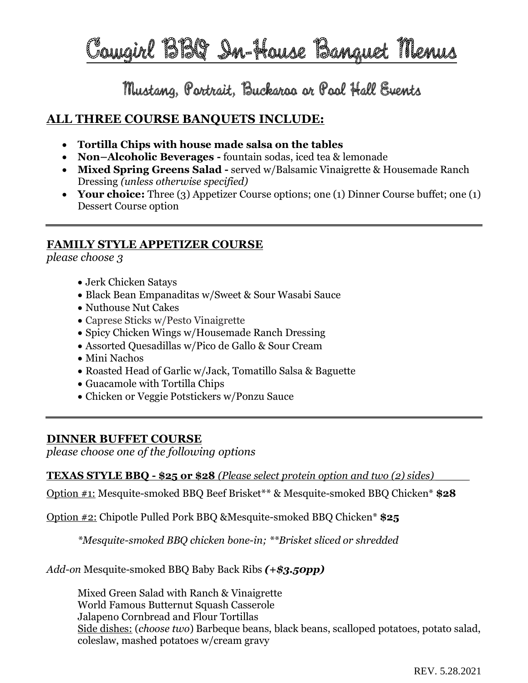Cowgirl BBQ In-House Banquet Menus

Mustang, Portrait, Buckaroo or Pool Hall Events

# **ALL THREE COURSE BANQUETS INCLUDE:**

- **Tortilla Chips with house made salsa on the tables**
- **Non–Alcoholic Beverages -** fountain sodas, iced tea & lemonade
- **Mixed Spring Greens Salad -** served w/Balsamic Vinaigrette & Housemade Ranch Dressing *(unless otherwise specified)*
- **Your choice:** Three (3) Appetizer Course options; one (1) Dinner Course buffet; one (1) Dessert Course option

# **FAMILY STYLE APPETIZER COURSE**

*please choose 3*

- Jerk Chicken Satays
- Black Bean Empanaditas w/Sweet & Sour Wasabi Sauce
- Nuthouse Nut Cakes
- Caprese Sticks w/Pesto Vinaigrette
- Spicy Chicken Wings w/Housemade Ranch Dressing
- Assorted Quesadillas w/Pico de Gallo & Sour Cream
- Mini Nachos
- Roasted Head of Garlic w/Jack, Tomatillo Salsa & Baguette
- Guacamole with Tortilla Chips
- Chicken or Veggie Potstickers w/Ponzu Sauce

# **DINNER BUFFET COURSE**

*please choose one of the following options*

**TEXAS STYLE BBQ - \$25 or \$28** *(Please select protein option and two (2) sides) \_\_\_\_\_*

Option #1: Mesquite-smoked BBQ Beef Brisket\*\* & Mesquite-smoked BBQ Chicken\* **\$28**

Option #2: Chipotle Pulled Pork BBQ &Mesquite-smoked BBQ Chicken\* **\$25**

*\*Mesquite-smoked BBQ chicken bone-in; \*\*Brisket sliced or shredded*

*Add-on* Mesquite-smoked BBQ Baby Back Ribs *(+\$3.50pp)*

Mixed Green Salad with Ranch & Vinaigrette World Famous Butternut Squash Casserole Jalapeno Cornbread and Flour Tortillas Side dishes: (*choose two*) Barbeque beans, black beans, scalloped potatoes, potato salad, coleslaw, mashed potatoes w/cream gravy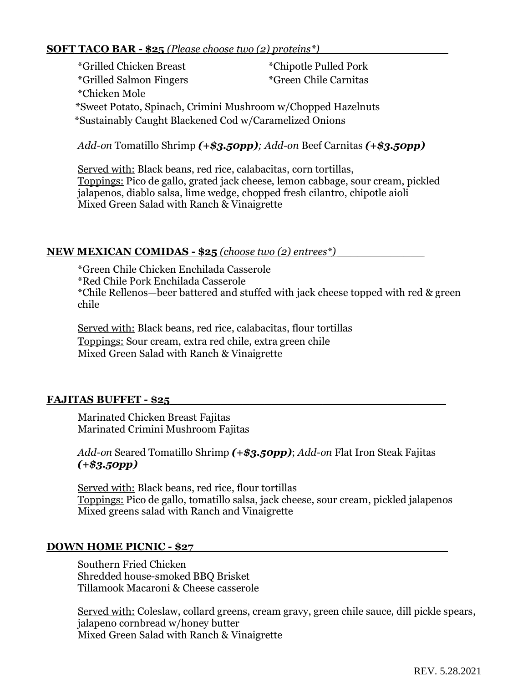## **SOFT TACO BAR - \$25** *(Please choose two (2) proteins*<sup>\*</sup>)

\*Grilled Chicken Breast \*Chipotle Pulled Pork \*Grilled Salmon Fingers \*Chicken Mole \*Green Chile Carnitas \*S \*Sweet Potato, Spinach, Crimini Mushroom w/Chopped Hazelnuts \*\* \*Sustainably Caught Blackened Cod w/Caramelized Onions

*Add-on* Tomatillo Shrimp *(+\$3.50pp); Add*-*on* Beef Carnitas *(+\$3.50pp)*

Served with: Black beans, red rice, calabacitas, corn tortillas, Toppings: Pico de gallo, grated jack cheese, lemon cabbage, sour cream, pickled jalapenos, diablo salsa, lime wedge, chopped fresh cilantro, chipotle aioli Mixed Green Salad with Ranch & Vinaigrette

#### **NEW MEXICAN COMIDAS - \$25** *(choose two (2) entrees*<sup>\*</sup>)

\*Green Chile Chicken Enchilada Casserole \*Red Chile Pork Enchilada Casserole \*Chile Rellenos—beer battered and stuffed with jack cheese topped with red & green chile

Served with: Black beans, red rice, calabacitas, flour tortillas Toppings: Sour cream, extra red chile, extra green chile Mixed Green Salad with Ranch & Vinaigrette

## **FAJITAS BUFFET - \$25\_\_\_\_\_\_\_\_\_\_\_\_\_\_\_\_\_\_\_\_\_\_\_\_\_\_\_\_\_\_\_\_\_\_\_\_\_\_**

Marinated Chicken Breast Fajitas Marinated Crimini Mushroom Fajitas

# *Add-on* Seared Tomatillo Shrimp *(+\$3.50pp)*; *Add-on* Flat Iron Steak Fajitas *(+\$3.50pp)*

Served with: Black beans, red rice, flour tortillas Toppings: Pico de gallo, tomatillo salsa, jack cheese, sour cream, pickled jalapenos Mixed greens salad with Ranch and Vinaigrette

#### **DOWN HOME PICNIC - \$27**

Southern Fried Chicken Shredded house-smoked BBQ Brisket Tillamook Macaroni & Cheese casserole

Served with: Coleslaw, collard greens, cream gravy, green chile sauce, dill pickle spears, jalapeno cornbread w/honey butter Mixed Green Salad with Ranch & Vinaigrette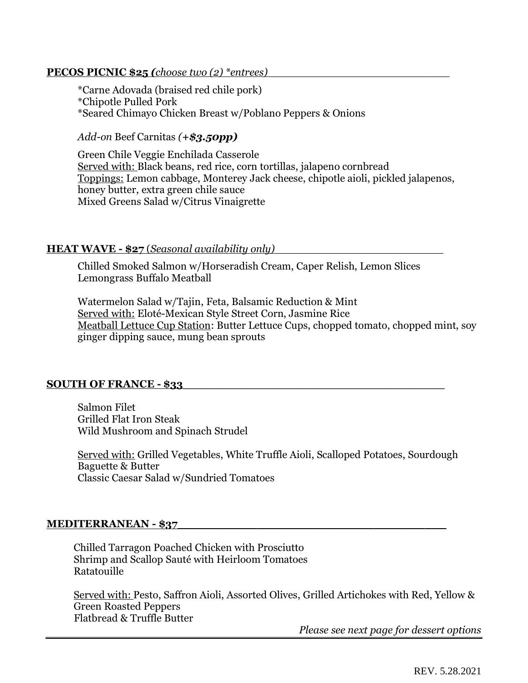# **PECOS PICNIC \$25** *(choose two (2) \*entrees)*

\*Carne Adovada (braised red chile pork) \*Chipotle Pulled Pork \*Seared Chimayo Chicken Breast w/Poblano Peppers & Onions

*Add-on* Beef Carnitas *(+\$3.50pp)*

Green Chile Veggie Enchilada Casserole Served with: Black beans, red rice, corn tortillas, jalapeno cornbread Toppings: Lemon cabbage, Monterey Jack cheese, chipotle aioli, pickled jalapenos, honey butter, extra green chile sauce Mixed Greens Salad w/Citrus Vinaigrette

#### **HEAT WAVE - \$27** (*Seasonal availability only) \_\_\_\_\_\_\_\_\_\_\_\_\_\_\_\_\_\_\_\_\_\_\_\_\_*

Chilled Smoked Salmon w/Horseradish Cream, Caper Relish, Lemon Slices Lemongrass Buffalo Meatball

Watermelon Salad w/Tajin, Feta, Balsamic Reduction & Mint Served with: Eloté-Mexican Style Street Corn, Jasmine Rice Meatball Lettuce Cup Station: Butter Lettuce Cups, chopped tomato, chopped mint, soy ginger dipping sauce, mung bean sprouts

## **SOUTH OF FRANCE - \$33\_\_\_\_\_\_\_\_\_\_\_\_\_\_\_\_\_\_\_\_\_\_\_\_\_\_\_\_\_\_\_\_\_\_\_\_**

Salmon Filet Grilled Flat Iron Steak Wild Mushroom and Spinach Strudel

Served with: Grilled Vegetables, White Truffle Aioli, Scalloped Potatoes, Sourdough Baguette & Butter Classic Caesar Salad w/Sundried Tomatoes

#### **MEDITERRANEAN - \$37**

Chilled Tarragon Poached Chicken with Prosciutto Shrimp and Scallop Sauté with Heirloom Tomatoes Ratatouille

Served with: Pesto, Saffron Aioli, Assorted Olives, Grilled Artichokes with Red, Yellow & Green Roasted Peppers Flatbread & Truffle Butter

*Please see next page for dessert options*